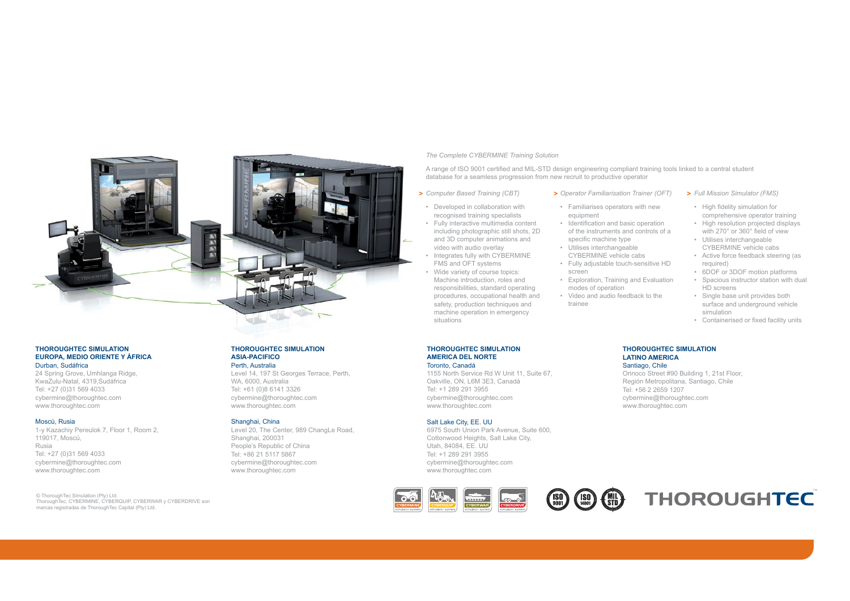### *The Complete CYBERMINE Training Solution*

A range of ISO 9001 certified and MIL-STD design engineering compliant training tools linked to a central student database for a seamless progression from new recruit to productive operator

*Computer Based Training (CBT)*

including photographic still shots, 2D and 3D computer animations and video with audio overlay • Integrates fully with CYBERMINE FMS and OFT systems • Wide variety of course topics: Machine introduction, roles and responsibilities, standard operating procedures, occupational health and safety, production techniques and machine operation in emergency

- *Operator Familiarisation Trainer (OFT)* **> > >**
- Familiarises operators with new equipment • Developed in collaboration with recognised training specialists • Fully interactive multimedia content
	- Identification and basic operation of the instruments and controls of a specific machine type
	- Utilises interchangeable CYBERMINE vehicle cabs • Fully adjustable touch-sensitive HD
	- screen
	- Exploration, Training and Evaluation modes of operation • Video and audio feedback to the
	- trainee
- *Full Mission Simulator (FMS)*
	- High fidelity simulation for comprehensive operator training
	- High resolution projected displays with 270° or 360° field of view
	- Utilises interchangeable CYBERMINE vehicle cabs
	- Active force feedback steering (as required)
	- 6DOF or 3DOF motion platforms • Spacious instructor station with dual
	- HD screens • Single base unit provides both surface and underground vehicle simulation
	- Containerised or fixed facility units
- **THOROUGHTEC SIMULATION LATINO AMERICA** Santiago, Chile

Orinoco Street #90 Building 1, 21st Floor, Región Metropolitana, Santiago, Chile Tel: +56 2 2659 1207 cybermine@thoroughtec.com www.thoroughtec.com

# **THOROUGHTEC SIMULATION**

### **ASIA-PACIFICO**

### Perth, Australia

Level 14, 197 St Georges Terrace, Perth, WA, 6000, Australia Tel: +61 (0)8 6141 3326 cybermine@thoroughtec.com www.thoroughtec.com

### Shanghai, China

Level 20, The Center, 989 ChangLe Road, Shanghai, 200031 People's Republic of China Tel: +86 21 5117 5867 cybermine@thoroughtec.com www.thoroughtec.com

1155 North Service Rd W Unit 11, Suite 67, Oakville, ON, L6M 3E3, Canadá Tel: +1 289 291 3955 cybermine@thoroughtec.com www.thoroughtec.com

### Salt Lake City, EE. UU

6975 South Union Park Avenue, Suite 600, Cottonwood Heights, Salt Lake City, Utah, 84084, EE. UU Tel: +1 289 291 3955 cybermine@thoroughtec.com www.thoroughtec.com







### **THOROUGHTEC SIMULATION EUROPA, MEDIO ORIENTE Y ÁFRICA** Durban, Sudáfrica

24 Spring Grove, Umhlanga Ridge, KwaZulu-Natal, 4319,Sudáfrica Tel: +27 (0)31 569 4033 cybermine@thoroughtec.com www.thoroughtec.com

#### Moscú, Rusia

1-y Kazachiy Pereulok 7, Floor 1, Room 2, 119017, Moscú, Rusia Tel: +27 (0)31 569 4033 cybermine@thoroughtec.com www.thoroughtec.com

© ThoroughTec Simulation (Pty) Ltd. ThoroughTec, CYBERMINE, CYBERQUIP, CYBERWAR y CYBERDRIVE son marcas registradas de ThoroughTec Capital (Pty) Ltd.

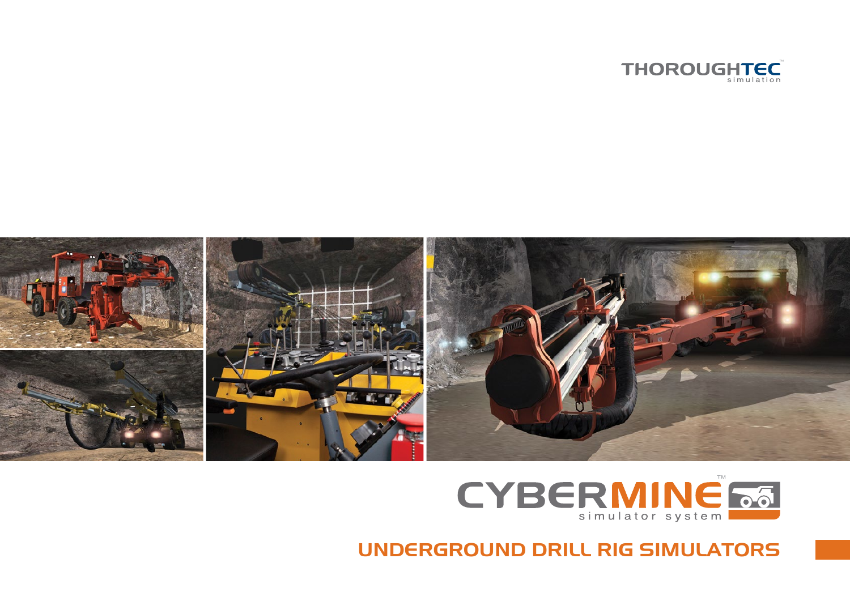





UNDERGROUND DRILL RIG SIMULATORS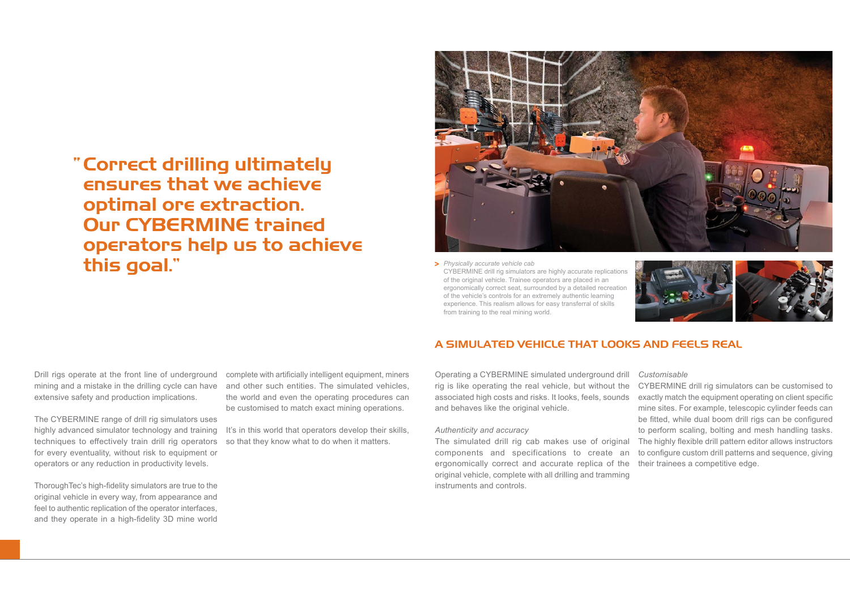## Correct drilling ultimately "ensures that we achieve optimal ore extraction. Our CYBERMINE trained operators help us to achieve this goal."



*Physically accurate vehicle cab*  **>** CYBERMINE drill rig simulators are highly accurate replications of the original vehicle. Trainee operators are placed in an ergonomically correct seat, surrounded by a detailed recreation of the vehicle's controls for an extremely authentic learning experience. This realism allows for easy transferral of skills from training to the real mining world.



Drill rigs operate at the front line of underground mining and a mistake in the drilling cycle can have extensive safety and production implications.

The CYBERMINE range of drill rig simulators uses highly advanced simulator technology and training techniques to effectively train drill rig operators for every eventuality, without risk to equipment or operators or any reduction in productivity levels.

ThoroughTec's high-fidelity simulators are true to the original vehicle in every way, from appearance and feel to authentic replication of the operator interfaces, and they operate in a high-fidelity 3D mine world

complete with artificially intelligent equipment, miners and other such entities. The simulated vehicles, the world and even the operating procedures can be customised to match exact mining operations.

It's in this world that operators develop their skills, so that they know what to do when it matters.

## A SIMULATED VEHICLE THAT LOOKS AND FEELS REAL

Operating a CYBERMINE simulated underground drill rig is like operating the real vehicle, but without the associated high costs and risks. It looks, feels, sounds and behaves like the original vehicle.

### *Authenticity and accuracy*

The simulated drill rig cab makes use of original components and specifications to create an ergonomically correct and accurate replica of the their trainees a competitive edge. original vehicle, complete with all drilling and tramming instruments and controls.

### *Customisable*

CYBERMINE drill rig simulators can be customised to exactly match the equipment operating on client specific mine sites. For example, telescopic cylinder feeds can be fitted, while dual boom drill rigs can be configured to perform scaling, bolting and mesh handling tasks. The highly flexible drill pattern editor allows instructors to configure custom drill patterns and sequence, giving